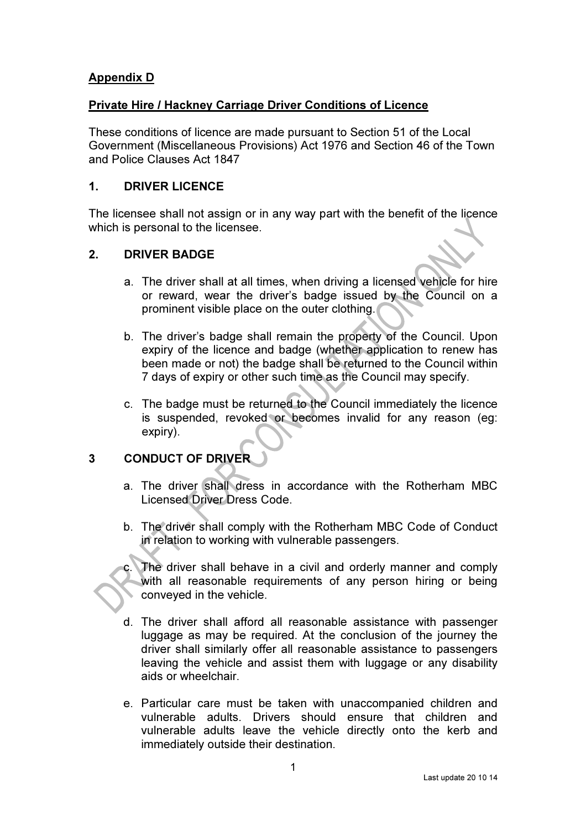# Appendix D

# Private Hire / Hackney Carriage Driver Conditions of Licence

These conditions of licence are made pursuant to Section 51 of the Local Government (Miscellaneous Provisions) Act 1976 and Section 46 of the Town and Police Clauses Act 1847

# 1. DRIVER LICENCE

The licensee shall not assign or in any way part with the benefit of the licence which is personal to the licensee.

# 2. DRIVER BADGE

- a. The driver shall at all times, when driving a licensed vehicle for hire or reward, wear the driver's badge issued by the Council on a prominent visible place on the outer clothing.
- b. The driver's badge shall remain the property of the Council. Upon expiry of the licence and badge (whether application to renew has been made or not) the badge shall be returned to the Council within 7 days of expiry or other such time as the Council may specify.
- c. The badge must be returned to the Council immediately the licence is suspended, revoked or becomes invalid for any reason (eg: expiry).

# 3 CONDUCT OF DRIVER

- a. The driver shall dress in accordance with the Rotherham MBC Licensed Driver Dress Code.
- b. The driver shall comply with the Rotherham MBC Code of Conduct in relation to working with vulnerable passengers.

The driver shall behave in a civil and orderly manner and comply with all reasonable requirements of any person hiring or being conveyed in the vehicle.

- d. The driver shall afford all reasonable assistance with passenger luggage as may be required. At the conclusion of the journey the driver shall similarly offer all reasonable assistance to passengers leaving the vehicle and assist them with luggage or any disability aids or wheelchair.
- e. Particular care must be taken with unaccompanied children and vulnerable adults. Drivers should ensure that children and vulnerable adults leave the vehicle directly onto the kerb and immediately outside their destination.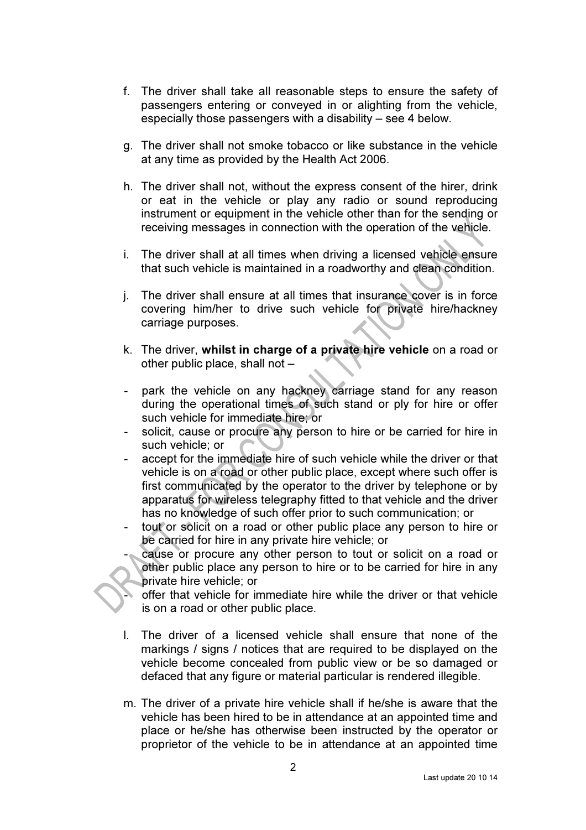- f. The driver shall take all reasonable steps to ensure the safety of passengers entering or conveyed in or alighting from the vehicle, especially those passengers with a disability – see 4 below.
- g. The driver shall not smoke tobacco or like substance in the vehicle at any time as provided by the Health Act 2006.
- h. The driver shall not, without the express consent of the hirer, drink or eat in the vehicle or play any radio or sound reproducing instrument or equipment in the vehicle other than for the sending or receiving messages in connection with the operation of the vehicle.
- i. The driver shall at all times when driving a licensed vehicle ensure that such vehicle is maintained in a roadworthy and clean condition.
- j. The driver shall ensure at all times that insurance cover is in force covering him/her to drive such vehicle for private hire/hackney carriage purposes.
- k. The driver, whilst in charge of a private hire vehicle on a road or other public place, shall not –
- park the vehicle on any hackney carriage stand for any reason during the operational times of such stand or ply for hire or offer such vehicle for immediate hire; or
- solicit, cause or procure any person to hire or be carried for hire in such vehicle; or
- accept for the immediate hire of such vehicle while the driver or that vehicle is on a road or other public place, except where such offer is first communicated by the operator to the driver by telephone or by apparatus for wireless telegraphy fitted to that vehicle and the driver has no knowledge of such offer prior to such communication; or
- tout or solicit on a road or other public place any person to hire or be carried for hire in any private hire vehicle; or
- cause or procure any other person to tout or solicit on a road or other public place any person to hire or to be carried for hire in any private hire vehicle; or

offer that vehicle for immediate hire while the driver or that vehicle is on a road or other public place.

- l. The driver of a licensed vehicle shall ensure that none of the markings / signs / notices that are required to be displayed on the vehicle become concealed from public view or be so damaged or defaced that any figure or material particular is rendered illegible.
- m. The driver of a private hire vehicle shall if he/she is aware that the vehicle has been hired to be in attendance at an appointed time and place or he/she has otherwise been instructed by the operator or proprietor of the vehicle to be in attendance at an appointed time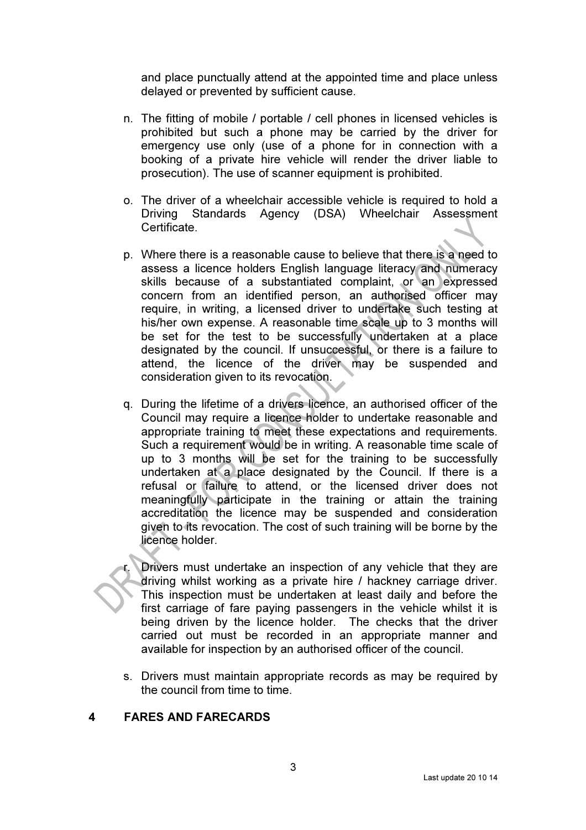and place punctually attend at the appointed time and place unless delayed or prevented by sufficient cause.

- n. The fitting of mobile / portable / cell phones in licensed vehicles is prohibited but such a phone may be carried by the driver for emergency use only (use of a phone for in connection with a booking of a private hire vehicle will render the driver liable to prosecution). The use of scanner equipment is prohibited.
- o. The driver of a wheelchair accessible vehicle is required to hold a Driving Standards Agency (DSA) Wheelchair Assessment Certificate.
- p. Where there is a reasonable cause to believe that there is a need to assess a licence holders English language literacy and numeracy skills because of a substantiated complaint, or an expressed concern from an identified person, an authorised officer may require, in writing, a licensed driver to undertake such testing at his/her own expense. A reasonable time scale up to 3 months will be set for the test to be successfully undertaken at a place designated by the council. If unsuccessful, or there is a failure to attend, the licence of the driver may be suspended and consideration given to its revocation.
- q. During the lifetime of a drivers licence, an authorised officer of the Council may require a licence holder to undertake reasonable and appropriate training to meet these expectations and requirements. Such a requirement would be in writing. A reasonable time scale of up to 3 months will be set for the training to be successfully undertaken at a place designated by the Council. If there is a refusal or failure to attend, or the licensed driver does not meaningfully participate in the training or attain the training accreditation the licence may be suspended and consideration given to its revocation. The cost of such training will be borne by the licence holder.

Drivers must undertake an inspection of any vehicle that they are driving whilst working as a private hire / hackney carriage driver. This inspection must be undertaken at least daily and before the first carriage of fare paying passengers in the vehicle whilst it is being driven by the licence holder. The checks that the driver carried out must be recorded in an appropriate manner and available for inspection by an authorised officer of the council.

s. Drivers must maintain appropriate records as may be required by the council from time to time.

### 4 FARES AND FARECARDS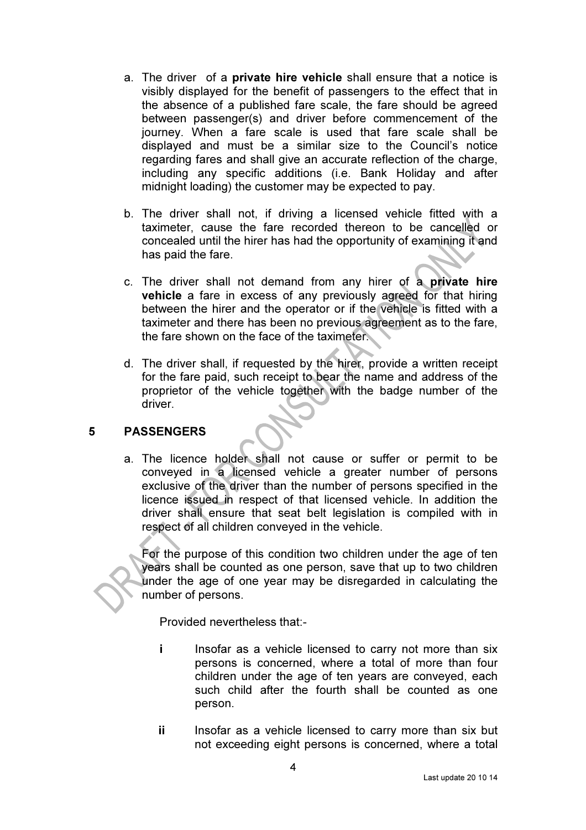- a. The driver of a private hire vehicle shall ensure that a notice is visibly displayed for the benefit of passengers to the effect that in the absence of a published fare scale, the fare should be agreed between passenger(s) and driver before commencement of the journey. When a fare scale is used that fare scale shall be displayed and must be a similar size to the Council's notice regarding fares and shall give an accurate reflection of the charge, including any specific additions (i.e. Bank Holiday and after midnight loading) the customer may be expected to pay.
- b. The driver shall not, if driving a licensed vehicle fitted with a taximeter, cause the fare recorded thereon to be cancelled or concealed until the hirer has had the opportunity of examining it and has paid the fare.
- c. The driver shall not demand from any hirer of a private hire vehicle a fare in excess of any previously agreed for that hiring between the hirer and the operator or if the vehicle is fitted with a taximeter and there has been no previous agreement as to the fare, the fare shown on the face of the taximeter.
- d. The driver shall, if requested by the hirer, provide a written receipt for the fare paid, such receipt to bear the name and address of the proprietor of the vehicle together with the badge number of the driver.

### 5 PASSENGERS

a. The licence holder shall not cause or suffer or permit to be conveyed in a licensed vehicle a greater number of persons exclusive of the driver than the number of persons specified in the licence issued in respect of that licensed vehicle. In addition the driver shall ensure that seat belt legislation is compiled with in respect of all children conveyed in the vehicle.

For the purpose of this condition two children under the age of ten years shall be counted as one person, save that up to two children under the age of one year may be disregarded in calculating the number of persons.

Provided nevertheless that:-

- i lnsofar as a vehicle licensed to carry not more than six persons is concerned, where a total of more than four children under the age of ten years are conveyed, each such child after the fourth shall be counted as one person.
- ii lnsofar as a vehicle licensed to carry more than six but not exceeding eight persons is concerned, where a total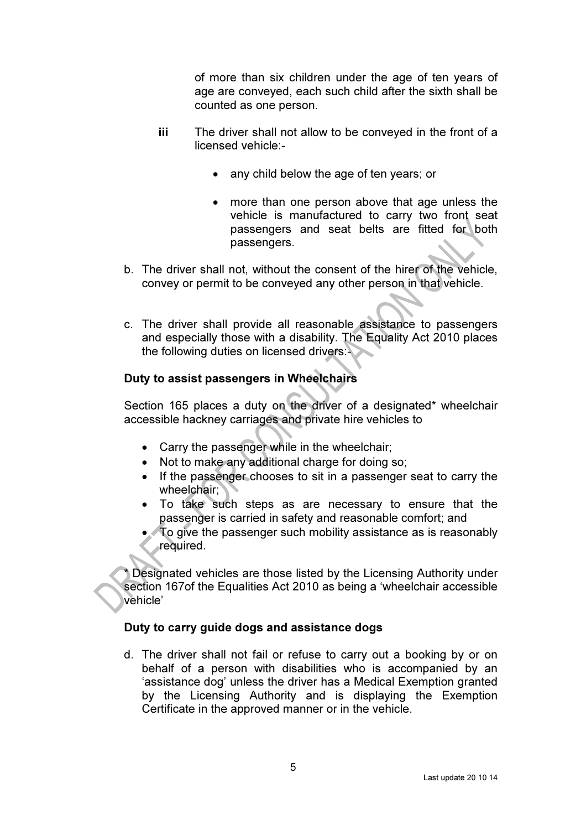of more than six children under the age of ten years of age are conveyed, each such child after the sixth shall be counted as one person.

- iii The driver shall not allow to be conveyed in the front of a licensed vehicle:-
	- any child below the age of ten years; or
	- more than one person above that age unless the vehicle is manufactured to carry two front seat passengers and seat belts are fitted for both passengers.
- b. The driver shall not, without the consent of the hirer of the vehicle, convey or permit to be conveyed any other person in that vehicle.
- c. The driver shall provide all reasonable assistance to passengers and especially those with a disability. The Equality Act 2010 places the following duties on licensed drivers:

#### Duty to assist passengers in Wheelchairs

Section 165 places a duty on the driver of a designated\* wheelchair accessible hackney carriages and private hire vehicles to

- Carry the passenger while in the wheelchair;
- Not to make any additional charge for doing so:
- If the passenger chooses to sit in a passenger seat to carry the wheelchair;
- To take such steps as are necessary to ensure that the passenger is carried in safety and reasonable comfort; and
- To give the passenger such mobility assistance as is reasonably required.

Designated vehicles are those listed by the Licensing Authority under section 167of the Equalities Act 2010 as being a 'wheelchair accessible vehicle'

#### Duty to carry guide dogs and assistance dogs

d. The driver shall not fail or refuse to carry out a booking by or on behalf of a person with disabilities who is accompanied by an 'assistance dog' unless the driver has a Medical Exemption granted by the Licensing Authority and is displaying the Exemption Certificate in the approved manner or in the vehicle.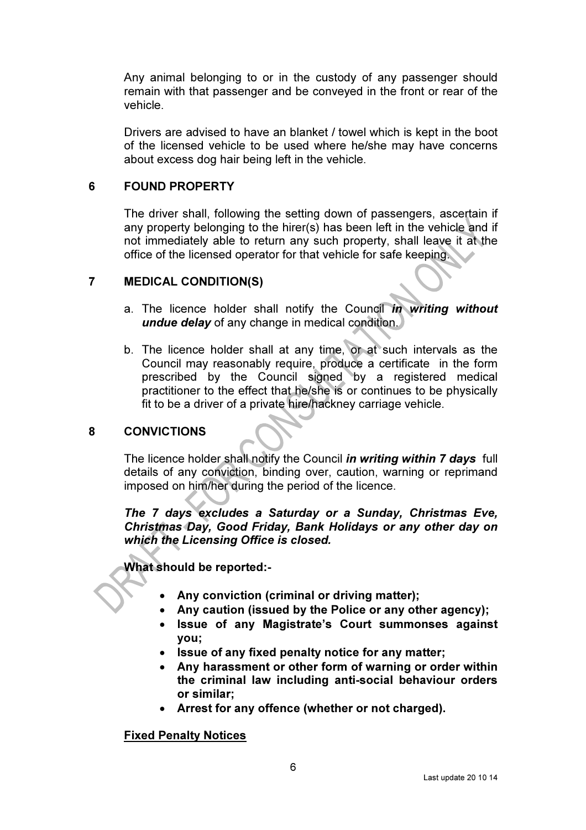Any animal belonging to or in the custody of any passenger should remain with that passenger and be conveyed in the front or rear of the vehicle.

Drivers are advised to have an blanket / towel which is kept in the boot of the licensed vehicle to be used where he/she may have concerns about excess dog hair being left in the vehicle.

### 6 FOUND PROPERTY

The driver shall, following the setting down of passengers, ascertain if any property belonging to the hirer(s) has been left in the vehicle and if not immediately able to return any such property, shall leave it at the office of the licensed operator for that vehicle for safe keeping.

### 7 MEDICAL CONDITION(S)

- a. The licence holder shall notify the Council in writing without undue delay of any change in medical condition.
- b. The licence holder shall at any time, or at such intervals as the Council may reasonably require, produce a certificate in the form prescribed by the Council signed by a registered medical practitioner to the effect that he/she is or continues to be physically fit to be a driver of a private hire/hackney carriage vehicle.

# 8 CONVICTIONS

The licence holder shall notify the Council in writing within 7 days full details of any conviction, binding over, caution, warning or reprimand imposed on him/her during the period of the licence.

The 7 days excludes a Saturday or a Sunday, Christmas Eve, Christmas Day, Good Friday, Bank Holidays or any other day on which the Licensing Office is closed.

What should be reported:-

- Any conviction (criminal or driving matter);
- Any caution (issued by the Police or any other agency);
- Issue of any Magistrate's Court summonses against you;
- Issue of any fixed penalty notice for any matter;
- Any harassment or other form of warning or order within the criminal law including anti-social behaviour orders or similar;
- Arrest for any offence (whether or not charged).

### Fixed Penalty Notices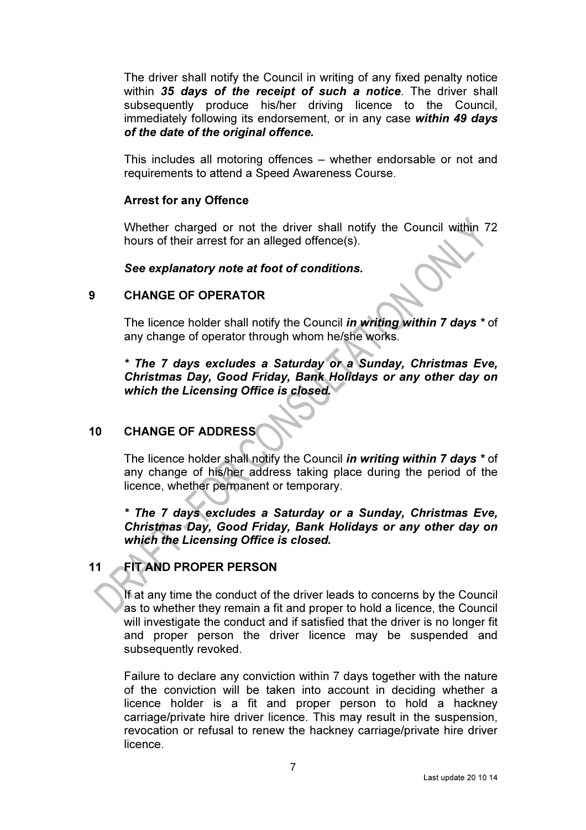The driver shall notify the Council in writing of any fixed penalty notice within 35 days of the receipt of such a notice. The driver shall subsequently produce his/her driving licence to the Council, immediately following its endorsement, or in any case within 49 days of the date of the original offence.

This includes all motoring offences – whether endorsable or not and requirements to attend a Speed Awareness Course.

#### Arrest for any Offence

Whether charged or not the driver shall notify the Council within 72 hours of their arrest for an alleged offence(s).

#### See explanatory note at foot of conditions.

#### 9 CHANGE OF OPERATOR

The licence holder shall notify the Council *in writing within 7 days* \* of any change of operator through whom he/she works.

\* The 7 days excludes a Saturday or a Sunday, Christmas Eve, Christmas Day, Good Friday, Bank Holidays or any other day on which the Licensing Office is closed.

# 10 CHANGE OF ADDRESS

The licence holder shall notify the Council *in writing within 7 days* \* of any change of his/her address taking place during the period of the licence, whether permanent or temporary.

\* The 7 days excludes a Saturday or a Sunday, Christmas Eve, Christmas Day, Good Friday, Bank Holidays or any other day on which the Licensing Office is closed.

# 11 FIT AND PROPER PERSON

If at any time the conduct of the driver leads to concerns by the Council as to whether they remain a fit and proper to hold a licence, the Council will investigate the conduct and if satisfied that the driver is no longer fit and proper person the driver licence may be suspended and subsequently revoked.

Failure to declare any conviction within 7 days together with the nature of the conviction will be taken into account in deciding whether a licence holder is a fit and proper person to hold a hackney carriage/private hire driver licence. This may result in the suspension, revocation or refusal to renew the hackney carriage/private hire driver licence.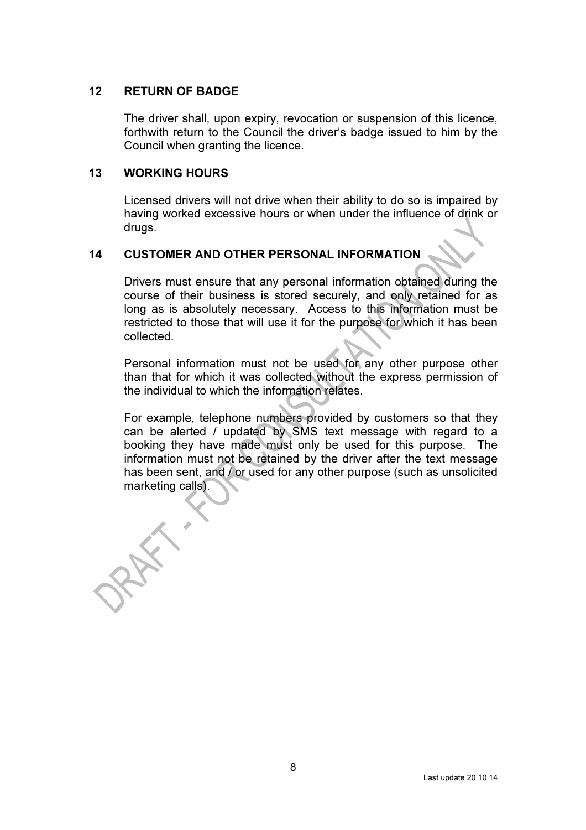#### 12 RETURN OF BADGE

The driver shall, upon expiry, revocation or suspension of this licence, forthwith return to the Council the driver's badge issued to him by the Council when granting the licence.

#### 13 WORKING HOURS

Licensed drivers will not drive when their ability to do so is impaired by having worked excessive hours or when under the influence of drink or drugs.

# 14 CUSTOMER AND OTHER PERSONAL INFORMATION

Drivers must ensure that any personal information obtained during the course of their business is stored securely, and only retained for as long as is absolutely necessary. Access to this information must be restricted to those that will use it for the purpose for which it has been collected.

Personal information must not be used for any other purpose other than that for which it was collected without the express permission of the individual to which the information relates.

For example, telephone numbers provided by customers so that they can be alerted / updated by SMS text message with regard to a booking they have made must only be used for this purpose. The information must not be retained by the driver after the text message has been sent, and / or used for any other purpose (such as unsolicited marketing calls).